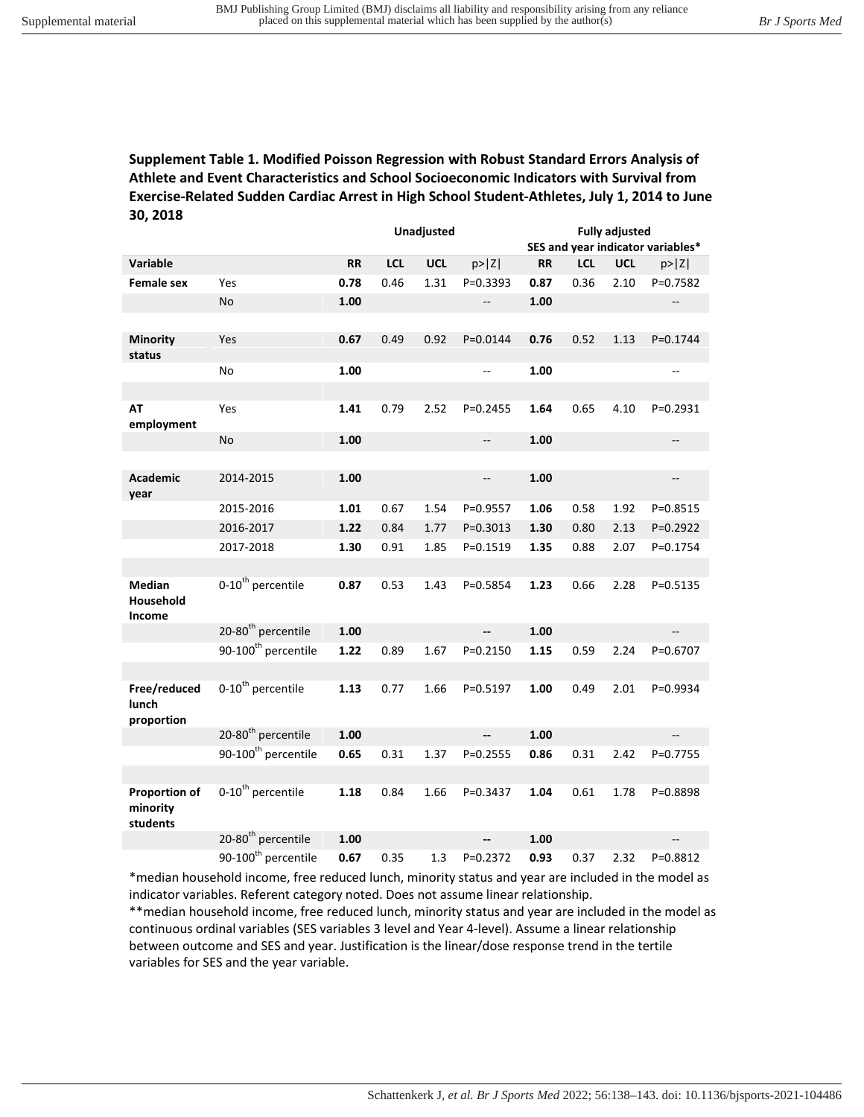## **Supplement Table 1. Modified Poisson Regression with Robust Standard Errors Analysis of Athlete and Event Characteristics and School Socioeconomic Indicators with Survival from Exercise-Related Sudden Cardiac Arrest in High School Student-Athletes, July 1, 2014 to June 30, 2018**

|                                       |                                 | Unadjusted |            |            | <b>Fully adjusted</b>    |           |            |            |                                   |
|---------------------------------------|---------------------------------|------------|------------|------------|--------------------------|-----------|------------|------------|-----------------------------------|
|                                       |                                 |            |            |            |                          |           |            |            | SES and year indicator variables* |
| Variable                              |                                 | <b>RR</b>  | <b>LCL</b> | <b>UCL</b> | p >  Z                   | <b>RR</b> | <b>LCL</b> | <b>UCL</b> | p >  Z                            |
| <b>Female sex</b>                     | Yes                             | 0.78       | 0.46       | 1.31       | $P = 0.3393$             | 0.87      | 0.36       | 2.10       | P=0.7582                          |
|                                       | No                              | 1.00       |            |            | $\overline{\phantom{a}}$ | 1.00      |            |            | ÷-                                |
|                                       |                                 |            |            |            |                          |           |            |            |                                   |
| <b>Minority</b><br>status             | Yes                             | 0.67       | 0.49       | 0.92       | P=0.0144                 | 0.76      | 0.52       | 1.13       | P=0.1744                          |
|                                       | <b>No</b>                       | 1.00       |            |            | --                       | 1.00      |            |            | --                                |
|                                       |                                 |            |            |            |                          |           |            |            |                                   |
| AT<br>employment                      | Yes                             | 1.41       | 0.79       | 2.52       | $P = 0.2455$             | 1.64      | 0.65       | 4.10       | P=0.2931                          |
|                                       | No                              | 1.00       |            |            | $\qquad \qquad -$        | 1.00      |            |            | --                                |
|                                       |                                 |            |            |            |                          |           |            |            |                                   |
| <b>Academic</b><br>year               | 2014-2015                       | 1.00       |            |            | --                       | 1.00      |            |            | $\overline{\phantom{a}}$          |
|                                       | 2015-2016                       | 1.01       | 0.67       | 1.54       | P=0.9557                 | 1.06      | 0.58       | 1.92       | P=0.8515                          |
|                                       | 2016-2017                       | 1.22       | 0.84       | 1.77       | $P = 0.3013$             | 1.30      | 0.80       | 2.13       | $P = 0.2922$                      |
|                                       | 2017-2018                       | 1.30       | 0.91       | 1.85       | P=0.1519                 | 1.35      | 0.88       | 2.07       | P=0.1754                          |
|                                       |                                 |            |            |            |                          |           |            |            |                                   |
| <b>Median</b><br>Household<br>Income  | 0-10 <sup>th</sup> percentile   | 0.87       | 0.53       | 1.43       | P=0.5854                 | 1.23      | 0.66       | 2.28       | P=0.5135                          |
|                                       | 20-80 <sup>th</sup> percentile  | 1.00       |            |            | --                       | 1.00      |            |            | $\overline{\phantom{a}}$          |
|                                       | 90-100 <sup>th</sup> percentile | 1.22       | 0.89       | 1.67       | P=0.2150                 | 1.15      | 0.59       | 2.24       | P=0.6707                          |
|                                       |                                 |            |            |            |                          |           |            |            |                                   |
| Free/reduced<br>lunch<br>proportion   | 0-10 <sup>th</sup> percentile   | 1.13       | 0.77       | 1.66       | P=0.5197                 | 1.00      | 0.49       | 2.01       | P=0.9934                          |
|                                       | 20-80 <sup>th</sup> percentile  | 1.00       |            |            | $\overline{\phantom{a}}$ | 1.00      |            |            | $\overline{a}$                    |
|                                       | 90-100 <sup>th</sup> percentile | 0.65       | 0.31       | 1.37       | P=0.2555                 | 0.86      | 0.31       | 2.42       | P=0.7755                          |
|                                       |                                 |            |            |            |                          |           |            |            |                                   |
| Proportion of<br>minority<br>students | 0-10 <sup>th</sup> percentile   | 1.18       | 0.84       | 1.66       | P=0.3437                 | 1.04      | 0.61       | 1.78       | P=0.8898                          |
|                                       | 20-80 <sup>th</sup> percentile  | 1.00       |            |            | Щ,                       | 1.00      |            |            | --                                |
|                                       | 90-100 <sup>th</sup> percentile | 0.67       | 0.35       | 1.3        | P=0.2372                 | 0.93      | 0.37       | 2.32       | P=0.8812                          |

\*median household income, free reduced lunch, minority status and year are included in the model as indicator variables. Referent category noted. Does not assume linear relationship.

\*\*median household income, free reduced lunch, minority status and year are included in the model as continuous ordinal variables (SES variables 3 level and Year 4-level). Assume a linear relationship between outcome and SES and year. Justification is the linear/dose response trend in the tertile variables for SES and the year variable.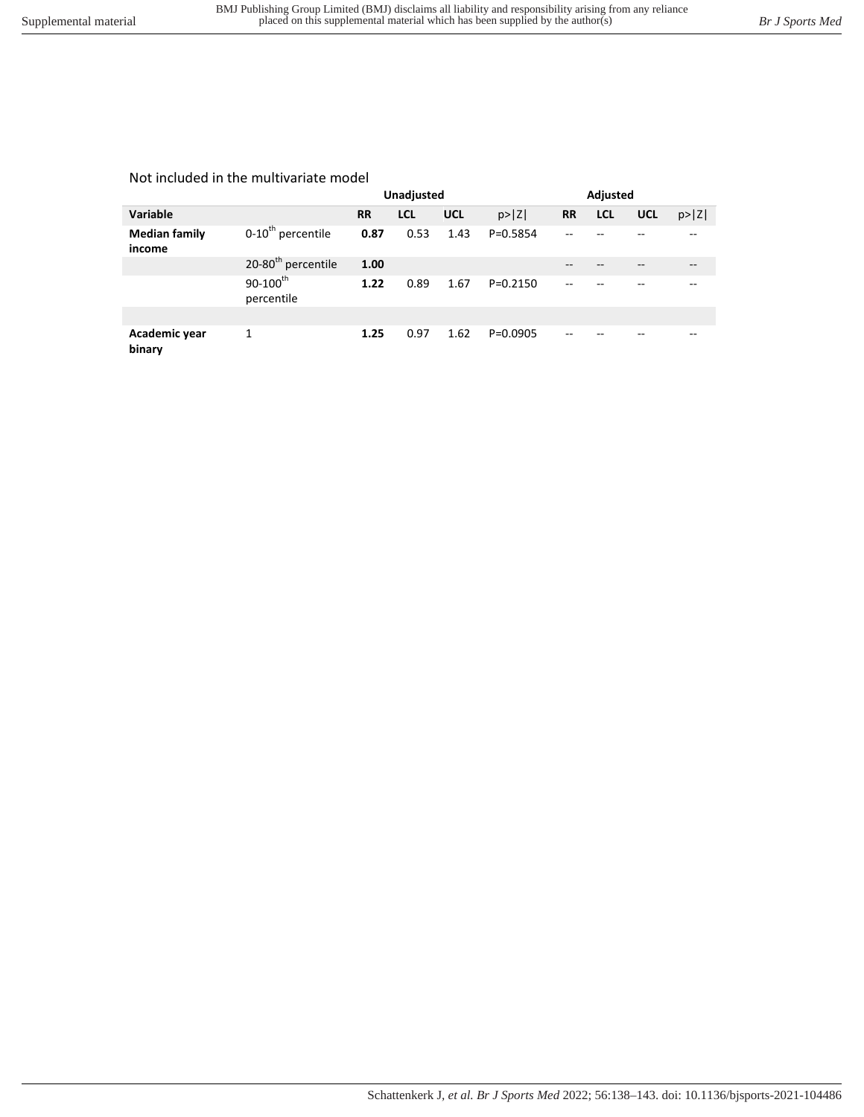## Not included in the multivariate model

|                                |                                |           | Unadjusted |            |            | Adjusted  |     |            |        |
|--------------------------------|--------------------------------|-----------|------------|------------|------------|-----------|-----|------------|--------|
| Variable                       |                                | <b>RR</b> | <b>LCL</b> | <b>UCL</b> | p >  Z     | <b>RR</b> | LCL | <b>UCL</b> | p >  Z |
| <b>Median family</b><br>income | 0-10 <sup>th</sup> percentile  | 0.87      | 0.53       | 1.43       | P=0.5854   |           |     |            |        |
|                                | 20-80 <sup>th</sup> percentile | 1.00      |            |            |            |           |     |            |        |
|                                | $90 - 100^{th}$<br>percentile  | 1.22      | 0.89       | 1.67       | $P=0.2150$ |           |     |            |        |
|                                |                                |           |            |            |            |           |     |            |        |
| Academic year<br>binary        | 1                              | 1.25      | 0.97       | 1.62       | $P=0.0905$ |           |     |            |        |